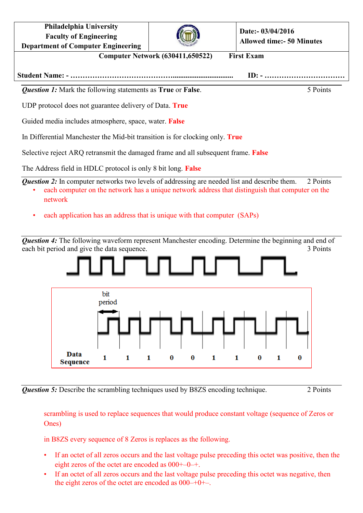**Philadelphia University Faculty of Engineering Department of Computer Engineering**



**Date:- 03/04/2016 Allowed time:- 50 Minutes**

**Computer Network (630411,650522) First Exam**

**Student Name: - ……………………………………................................. ID: - ……………………………**

*Question 1:* Mark the following statements as **True** or **False**. 5 Points

UDP protocol does not guarantee delivery of Data. **True**

Guided media includes atmosphere, space, water. **False**

In Differential Manchester the Mid-bit transition is for clocking only. **True**

Selective reject ARQ retransmit the damaged frame and all subsequent frame. **False**

The Address field in HDLC protocol is only 8 bit long. **False**

*Question 2:* In computer networks two levels of addressing are needed list and describe them. 2 Points

- each computer on the network has a unique network address that distinguish that computer on the network
- each application has an address that is unique with that computer (SAPs)

**Question 4:** The following waveform represent Manchester encoding. Determine the beginning and end of each bit period and give the data sequence. 3 Points



*Question 5:* Describe the scrambling techniques used by B8ZS encoding technique. 2 Points

scrambling is used to replace sequences that would produce constant voltage (sequence of Zeros or Ones)

in B8ZS every sequence of 8 Zeros is replaces as the following.

- If an octet of all zeros occurs and the last voltage pulse preceding this octet was positive, then the eight zeros of the octet are encoded as 000+–0–+.
- If an octet of all zeros occurs and the last voltage pulse preceding this octet was negative, then the eight zeros of the octet are encoded as  $000-+0+-$ .